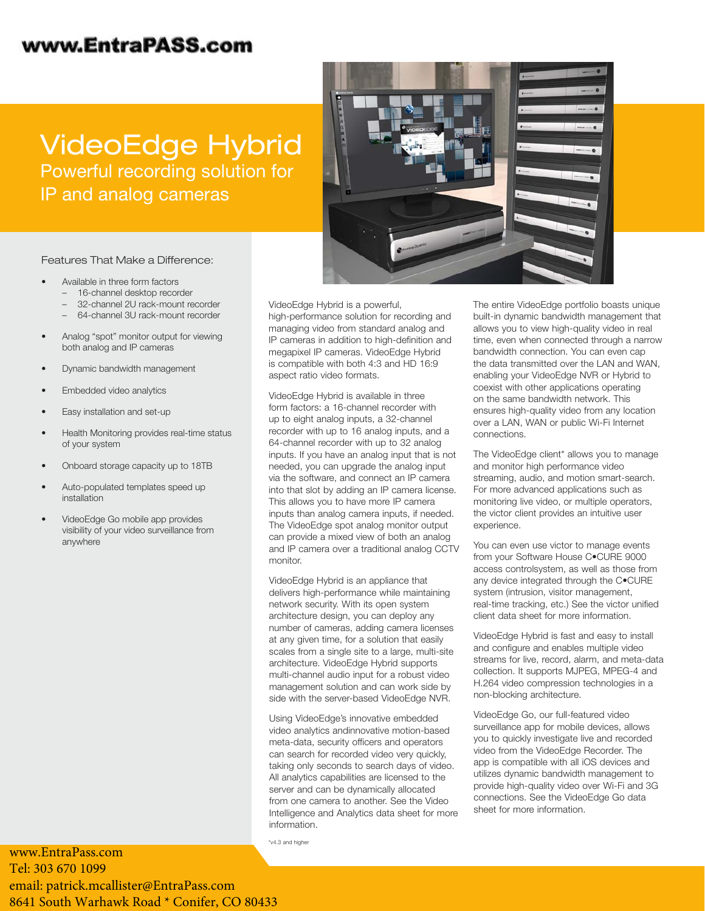### www.EntraPASS.com

# VideoEdge Hybrid Powerful recording solution for IP and analog cameras



Features That Make a Difference:

- Available in three form factors
	- 16-channel desktop recorder
	- 32-channel 2U rack-mount recorder
	- 64-channel 3U rack-mount recorder
- Analog "spot" monitor output for viewing both analog and IP cameras
- Dynamic bandwidth management
- Embedded video analytics
- Easy installation and set-up
- Health Monitoring provides real-time status of your system
- Onboard storage capacity up to 18TB
- Auto-populated templates speed up installation
- VideoEdge Go mobile app provides visibility of your video surveillance from anywhere

www.EntraPass.com Tel: 303 670 1099 emai[l: patrick.mcallister@EntraPass.com](http://www.americandynamics.net)

8641 South Warhawk Road \* Conifer, CO 80433

VideoEdge Hybrid is a powerful,

high-performance solution for recording and managing video from standard analog and IP cameras in addition to high-definition and megapixel IP cameras. VideoEdge Hybrid is compatible with both 4:3 and HD 16:9 aspect ratio video formats.

VideoEdge Hybrid is available in three form factors: a 16-channel recorder with up to eight analog inputs, a 32-channel recorder with up to 16 analog inputs, and a 64-channel recorder with up to 32 analog inputs. If you have an analog input that is not needed, you can upgrade the analog input via the software, and connect an IP camera into that slot by adding an IP camera license. This allows you to have more IP camera inputs than analog camera inputs, if needed. The VideoEdge spot analog monitor output can provide a mixed view of both an analog and IP camera over a traditional analog CCTV monitor.

VideoEdge Hybrid is an appliance that delivers high-performance while maintaining network security. With its open system architecture design, you can deploy any number of cameras, adding camera licenses at any given time, for a solution that easily scales from a single site to a large, multi-site architecture. VideoEdge Hybrid supports multi-channel audio input for a robust video management solution and can work side by side with the server-based VideoEdge NVR.

Using VideoEdge's innovative embedded video analytics andinnovative motion-based meta-data, security officers and operators can search for recorded video very quickly, taking only seconds to search days of video. All analytics capabilities are licensed to the server and can be dynamically allocated from one camera to another. See the Video Intelligence and Analytics data sheet for more information.

\*v4.3 and higher

The entire VideoEdge portfolio boasts unique built-in dynamic bandwidth management that allows you to view high-quality video in real time, even when connected through a narrow bandwidth connection. You can even cap the data transmitted over the LAN and WAN, enabling your VideoEdge NVR or Hybrid to coexist with other applications operating on the same bandwidth network. This ensures high-quality video from any location over a LAN, WAN or public Wi-Fi Internet connections.

The VideoEdge client\* allows you to manage and monitor high performance video streaming, audio, and motion smart-search. For more advanced applications such as monitoring live video, or multiple operators, the victor client provides an intuitive user experience.

You can even use victor to manage events from your Software House C•CURE 9000 access controlsystem, as well as those from any device integrated through the C•CURE system (intrusion, visitor management, real-time tracking, etc.) See the victor unified client data sheet for more information.

VideoEdge Hybrid is fast and easy to install and configure and enables multiple video streams for live, record, alarm, and meta-data collection. It supports MJPEG, MPEG-4 and H.264 video compression technologies in a non-blocking architecture.

VideoEdge Go, our full-featured video surveillance app for mobile devices, allows you to quickly investigate live and recorded video from the VideoEdge Recorder. The app is compatible with all iOS devices and utilizes dynamic bandwidth management to provide high-quality video over Wi-Fi and 3G connections. See the VideoEdge Go data sheet for more information.